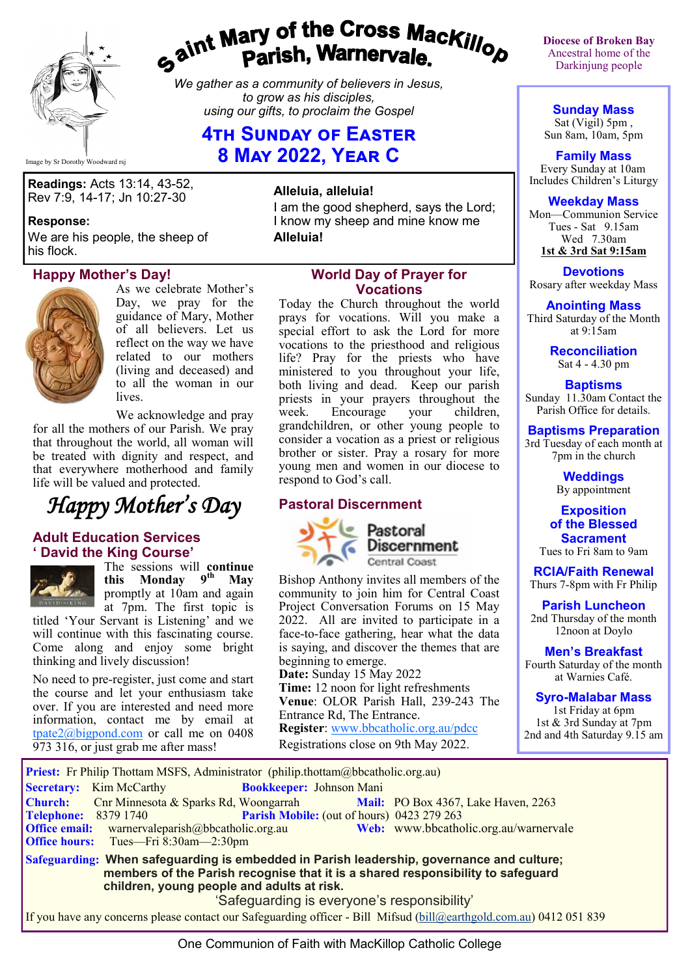

# gaint Mary of the Cross Mackillop<br>gaint Parish, Warnervale.

*We gather as a community of believers in Jesus, to grow as his disciples, using our gifts, to proclaim the Gospel*

# **4th Sunday of Easter 8 May 2022, Year C**

Image by Sr Dorothy Woodward rsj

**Readings:** Acts 13:14, 43-52, Rev 7:9, 14-17; Jn 10:27-30

#### **Response:**

We are his people, the sheep of his flock.

#### **Happy Mother's Day!**



As we celebrate Mother's Day, we pray for the guidance of Mary, Mother of all believers. Let us reflect on the way we have related to our mothers (living and deceased) and to all the woman in our lives.

We acknowledge and pray for all the mothers of our Parish. We pray that throughout the world, all woman will be treated with dignity and respect, and that everywhere motherhood and family life will be valued and protected.



#### **Adult Education Services ' David the King Course'**



The sessions will **continue**<br>this **Monday** 9<sup>th</sup> May **this Monday 9<sup>th</sup>** promptly at 10am and again

at 7pm. The first topic is titled 'Your Servant is Listening' and we will continue with this fascinating course. Come along and enjoy some bright thinking and lively discussion!

No need to pre-register, just come and start the course and let your enthusiasm take over. If you are interested and need more information, contact me by email at tpate $2$ @bigpond.com or call me on 0408 973 316, or just grab me after mass!

#### **Alleluia, alleluia!**

I am the good shepherd, says the Lord; I know my sheep and mine know me **Alleluia!**

#### **World Day of Prayer for Vocations**

Today the Church throughout the world prays for vocations. Will you make a special effort to ask the Lord for more vocations to the priesthood and religious life? Pray for the priests who have ministered to you throughout your life, both living and dead. Keep our parish priests in your prayers throughout the<br>week. Encourage your children, Encourage your children, grandchildren, or other young people to consider a vocation as a priest or religious brother or sister. Pray a rosary for more young men and women in our diocese to respond to God's call.

#### **Pastoral Discernment**



Pastoral **Discernment** Central Coast

Bishop Anthony invites all members of the community to join him for Central Coast Project Conversation Forums on 15 May 2022. All are invited to participate in a face-to-face gathering, hear what the data is saying, and discover the themes that are beginning to emerge.

**Date:** Sunday 15 May 2022 **Time:** 12 noon for light refreshments **Venue**: OLOR Parish Hall, 239-243 The Entrance Rd, The Entrance. **Register**: [www.bbcatholic.org.au/pdcc](http://www.bbcatholic.org.au/pdcc) Registrations close on 9th May 2022.

**Diocese of Broken Bay**  Ancestral home of the Darkinjung people

**Sunday Mass** Sat (Vigil) 5pm, Sun 8am, 10am, 5pm

**Family Mass**  Every Sunday at 10am Includes Children's Liturgy

### **Weekday Mass**

Mon—Communion Service Tues - Sat 9.15am Wed 7.30am **1st & 3rd Sat 9:15am**

**Devotions** Rosary after weekday Mass

**Anointing Mass** Third Saturday of the Month at 9:15am

> **Reconciliation** Sat 4 - 4.30 pm

**Baptisms** Sunday 11.30am Contact the Parish Office for details.

## **Baptisms Preparation**

3rd Tuesday of each month at 7pm in the church

> **Weddings**  By appointment

**Exposition of the Blessed Sacrament** Tues to Fri 8am to 9am

**RCIA/Faith Renewal**  Thurs 7-8pm with Fr Philip

**Parish Luncheon** 2nd Thursday of the month 12noon at Doylo

**Men's Breakfast** Fourth Saturday of the month

at Warnies Café.

**Syro-Malabar Mass** 1st Friday at 6pm

1st & 3rd Sunday at 7pm 2nd and 4th Saturday 9.15 am

Priest: Fr Philip Thottam MSFS, Administrator (philip.thottam@bbcatholic.org.au) **Secretary:** Kim McCarthy **Bookkeeper:** Johnson Mani **Church:** Cnr Minnesota & Sparks Rd, Woongarrah **Mail:** PO Box 4367, Lake Haven, 2263 **Telephone:** 8379 1740 **Parish Mobile:** (out of hours) 0423 279 263 Office email: warnervaleparish@bbcatholic.org.au **Web:** [www.bbcatholic.org.au/warnervale](https://www.bbcatholic.org.au/warnervale)<br>
Office hours: Tues—Fri 8:30am—2:30pm **Office hours:** Tues—Fri 8:30am—2:30pm **Safeguarding: When safeguarding is embedded in Parish leadership, governance and culture; members of the Parish recognise that it is a shared responsibility to safeguard children, young people and adults at risk.** 'Safeguarding is everyone's responsibility'

If you have any concerns please contact our Safeguarding officer - Bill Mifsud ([bill@earthgold.com.au\)](mailto:bill@earthgold.com.au) 0412 051 839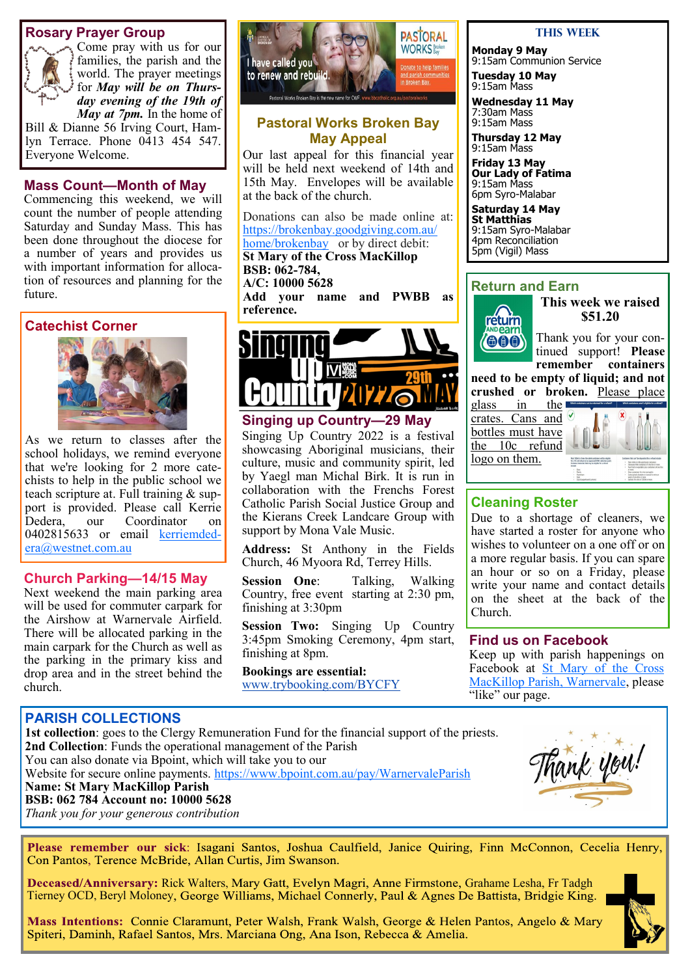#### **Rosary Prayer Group**



Come pray with us for our families, the parish and the world. The prayer meetings for *May will be on Thursday evening of the 19th of May at 7pm.* In the home of

Bill & Dianne 56 Irving Court, Hamlyn Terrace. Phone 0413 454 547. Everyone Welcome.

#### **Mass Count—Month of May**

Commencing this weekend, we will count the number of people attending Saturday and Sunday Mass. This has been done throughout the diocese for a number of years and provides us with important information for allocation of resources and planning for the future.

#### **Catechist Corner**



As we return to classes after the school holidays, we remind everyone that we're looking for 2 more catechists to help in the public school we teach scripture at. Full training & support is provided. Please call Kerrie Dedera, our Coordinator on 0402815633 or email [kerriemded](mailto:kerriemdedera@westnet.com.au)[era@westnet.com.au](mailto:kerriemdedera@westnet.com.au)

#### **Church Parking—14/15 May**

Next weekend the main parking area will be used for commuter carpark for the Airshow at Warnervale Airfield. There will be allocated parking in the main carpark for the Church as well as the parking in the primary kiss and drop area and in the street behind the church.



#### **Pastoral Works Broken Bay May Appeal**

Our last appeal for this financial year will be held next weekend of 14th and 15th May. Envelopes will be available at the back of the church.

Donations can also be made online at: [https://brokenbay.goodgiving.com.au/](https://brokenbay.goodgiving.com.au/home/brokenbay) [home/brokenbay](https://brokenbay.goodgiving.com.au/home/brokenbay)or by direct debit: **St Mary of the Cross MacKillop BSB: 062-784,** 

#### **A/C: 10000 5628**

**Add your name and PWBB as reference.** 



#### **Singing up Country—29 May**

Singing Up Country 2022 is a festival showcasing Aboriginal musicians, their culture, music and community spirit, led by Yaegl man Michal Birk. It is run in collaboration with the Frenchs Forest Catholic Parish Social Justice Group and the Kierans Creek Landcare Group with support by Mona Vale Music.

**Address:** St Anthony in the Fields Church, 46 Myoora Rd, Terrey Hills.

**Session One**: Talking, Walking Country, free event starting at 2:30 pm, finishing at 3:30pm

**Session Two:** Singing Up Country 3:45pm Smoking Ceremony, 4pm start, finishing at 8pm.

#### **Bookings are essential:**

[www.trybooking.com/BYCFY](https://bbcatholic.us8.list-manage.com/track/click?u=466af249e088db70ab864d088&id=24adf7707c&e=e312df0f80)

#### **This Week**

**Monday 9 May** 9:15am Communion Service

**Tuesday 10 May** 9:15am Mass

**Wednesday 11 May** 7:30am Mass 9:15am Mass

**Thursday 12 May** 9:15am Mass

**Friday 13 May Our Lady of Fatima** 9:15am Mass 6pm Syro-Malabar

**Saturday 14 May St Matthias** 9:15am Syro-Malabar 4pm Reconciliation 5pm (Vigil) Mass

#### **Return and Earn**



**This week we raised \$51.20**

Thank you for your continued support! **Please remember containers** 

**need to be empty of liquid; and not crushed or broken.** Please place

glass in the crates. Cans and  $\vee$ bottles must have the 10c refund logo on them.



#### **Cleaning Roster**

Due to a shortage of cleaners, we have started a roster for anyone who wishes to volunteer on a one off or on a more regular basis. If you can spare an hour or so on a Friday, please write your name and contact details on the sheet at the back of the Church.

#### **Find us on Facebook**

Keep up with parish happenings on Facebook at St Mary of the Cross [MacKillop Parish, Warnervale,](https://www.facebook.com/MacKillopParishWarnervale) please "like" our page.

#### **PARISH COLLECTIONS**

**1st collection**: goes to the Clergy Remuneration Fund for the financial support of the priests. **2nd Collection**: Funds the operational management of the Parish You can also donate via Bpoint, which will take you to our Website for secure online payments. <https://www.bpoint.com.au/pay/WarnervaleParish> **Name: St Mary MacKillop Parish BSB: 062 784 Account no: 10000 5628** *Thank you for your generous contribution* 



Please remember our sick: Isagani Santos, Joshua Caulfield, Janice Quiring, Finn McConnon, Cecelia Henry, Con Pantos, Terence McBride, Allan Curtis, Jim Swanson.

Deceased/Anniversary: Rick Walters, Mary Gatt, Evelyn Magri, Anne Firmstone, Grahame Lesha, Fr Tadgh Tierney OCD, Beryl Moloney, George Williams, Michael Connerly, Paul & Agnes De Battista, Bridgie King.



Mass Intentions: Connie Claramunt, Peter Walsh, Frank Walsh, George & Helen Pantos, Angelo & Mary Spiteri, Daminh, Rafael Santos, Mrs. Marciana Ong, Ana Ison, Rebecca & Amelia.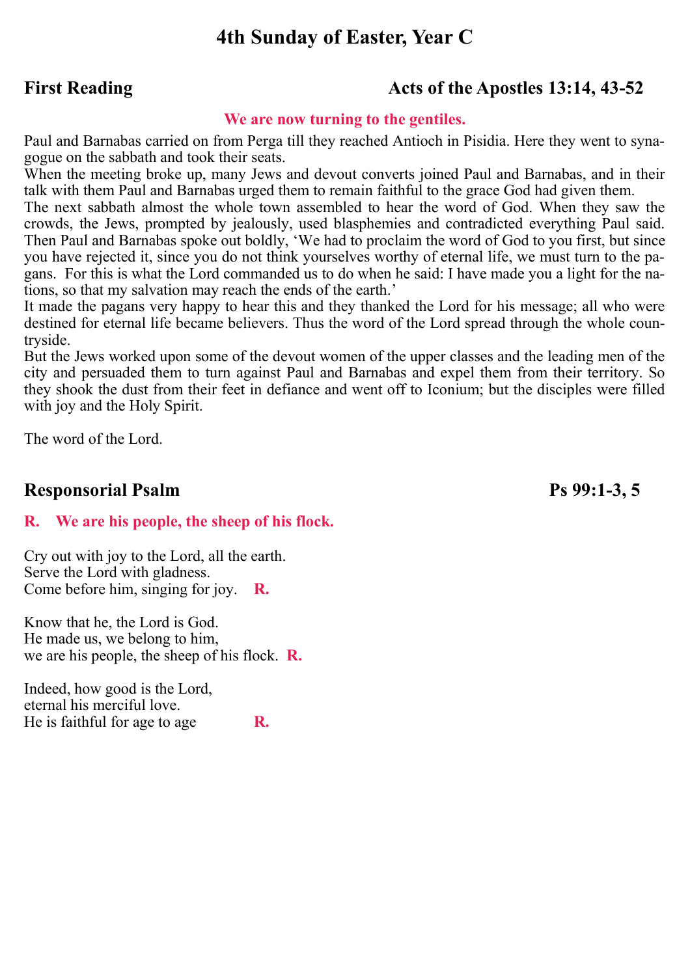# **4th Sunday of Easter, Year C**

# First Reading **Acts of the Apostles 13:14, 43-52**

#### **We are now turning to the gentiles.**

Paul and Barnabas carried on from Perga till they reached Antioch in Pisidia. Here they went to synagogue on the sabbath and took their seats.

When the meeting broke up, many Jews and devout converts joined Paul and Barnabas, and in their talk with them Paul and Barnabas urged them to remain faithful to the grace God had given them.

The next sabbath almost the whole town assembled to hear the word of God. When they saw the crowds, the Jews, prompted by jealously, used blasphemies and contradicted everything Paul said. Then Paul and Barnabas spoke out boldly, 'We had to proclaim the word of God to you first, but since you have rejected it, since you do not think yourselves worthy of eternal life, we must turn to the pagans. For this is what the Lord commanded us to do when he said: I have made you a light for the nations, so that my salvation may reach the ends of the earth.'

It made the pagans very happy to hear this and they thanked the Lord for his message; all who were destined for eternal life became believers. Thus the word of the Lord spread through the whole countryside.

But the Jews worked upon some of the devout women of the upper classes and the leading men of the city and persuaded them to turn against Paul and Barnabas and expel them from their territory. So they shook the dust from their feet in defiance and went off to Iconium; but the disciples were filled with joy and the Holy Spirit.

The word of the Lord.

# **Responsorial Psalm Ps 99:1-3, 5**

## **R. We are his people, the sheep of his flock.**

Cry out with joy to the Lord, all the earth. Serve the Lord with gladness. Come before him, singing for joy. **R.**

Know that he, the Lord is God. He made us, we belong to him, we are his people, the sheep of his flock. **R.**

Indeed, how good is the Lord, eternal his merciful love. He is faithful for age to age **R.**